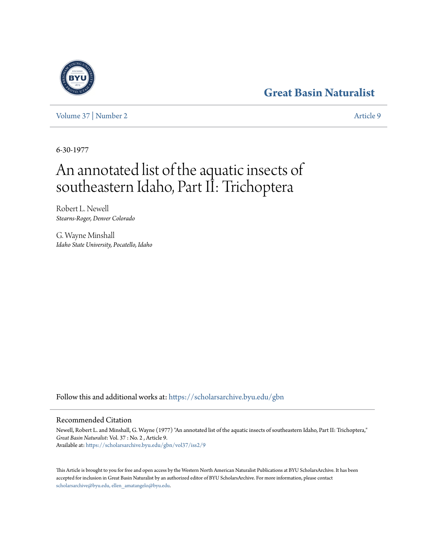## **[Great Basin Naturalist](https://scholarsarchive.byu.edu/gbn?utm_source=scholarsarchive.byu.edu%2Fgbn%2Fvol37%2Fiss2%2F9&utm_medium=PDF&utm_campaign=PDFCoverPages)**

[Volume 37](https://scholarsarchive.byu.edu/gbn/vol37?utm_source=scholarsarchive.byu.edu%2Fgbn%2Fvol37%2Fiss2%2F9&utm_medium=PDF&utm_campaign=PDFCoverPages) | [Number 2](https://scholarsarchive.byu.edu/gbn/vol37/iss2?utm_source=scholarsarchive.byu.edu%2Fgbn%2Fvol37%2Fiss2%2F9&utm_medium=PDF&utm_campaign=PDFCoverPages) [Article 9](https://scholarsarchive.byu.edu/gbn/vol37/iss2/9?utm_source=scholarsarchive.byu.edu%2Fgbn%2Fvol37%2Fiss2%2F9&utm_medium=PDF&utm_campaign=PDFCoverPages)

6-30-1977

# An annotated list of the aquatic insects of southeastern Idaho, Part II: Trichoptera

Robert L. Newell *Stearns-Roger, Denver Colorado*

G. Wayne Minshall *Idaho State University, Pocatello, Idaho*

Follow this and additional works at: [https://scholarsarchive.byu.edu/gbn](https://scholarsarchive.byu.edu/gbn?utm_source=scholarsarchive.byu.edu%2Fgbn%2Fvol37%2Fiss2%2F9&utm_medium=PDF&utm_campaign=PDFCoverPages)

### Recommended Citation

Newell, Robert L. and Minshall, G. Wayne (1977) "An annotated list of the aquatic insects of southeastern Idaho, Part II: Trichoptera," *Great Basin Naturalist*: Vol. 37 : No. 2 , Article 9. Available at: [https://scholarsarchive.byu.edu/gbn/vol37/iss2/9](https://scholarsarchive.byu.edu/gbn/vol37/iss2/9?utm_source=scholarsarchive.byu.edu%2Fgbn%2Fvol37%2Fiss2%2F9&utm_medium=PDF&utm_campaign=PDFCoverPages)

This Article is brought to you for free and open access by the Western North American Naturalist Publications at BYU ScholarsArchive. It has been accepted for inclusion in Great Basin Naturalist by an authorized editor of BYU ScholarsArchive. For more information, please contact [scholarsarchive@byu.edu, ellen\\_amatangelo@byu.edu.](mailto:scholarsarchive@byu.edu,%20ellen_amatangelo@byu.edu)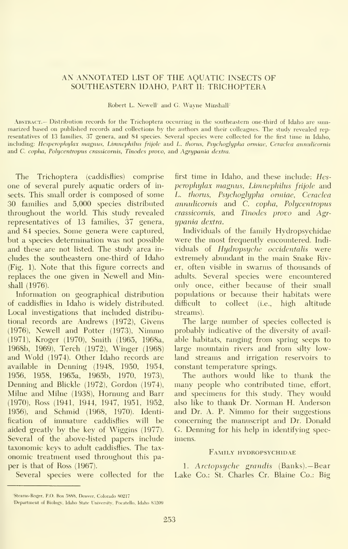#### AN ANNOTATED LIST OF THE AQUATIC INSECTS OF SOUTHEASTERN IDAHO, PART II: TRICHOPTERA

Robert L. Newell' and G. Wayne Minshall'

Abstract.— Distribution records for the Trichoptera occurring in the southeastern one-third of Idaho are summarized based on published records and collections by the authors and their colleagues. The study revealed rep resentatives of 13 families, 37 genera, and 84 species. Several species were collected for the first time in Idaho, including: Hesperophylax magnus, Limnephilus frijole and L. thorus, Psychoglypha ormiae, Ceraclea annulicornis and C. copha, Polycentropus crassicornis, Tinodes provo, and Agrypania dextra.

The Trichoptera (caddisflies) comprise one of several purely aquatic orders of in sects. This small order is composed of some 30 families and 5,000 species distributed throughout the world. This study revealed representatives of 13 families, 37 genera, and 84 species. Some genera were captured, but a species determination was not possible and these are not listed. The study area in cludes the southeastern one-third of Idaho (Fig. 1). Note that this figure corrects and replaces the one given in Newell and Minshall (1976).

Information on geographical distribution of caddisflies in Idaho is widely distributed. Local investigations that included distributional records are Andrews (1972), Givens (1976), Newell and Potter (1973), Nimmo (1971), Kroger (1970), Smith (1965, 1968a, 1968b, 1969), Terch (1972), Winger (1968) and Wold (1974). Other Idaho records are available in Denning (1948, 1950, 1954, 1956, 1958, 1965a, 1965b, 1970, 1973), Denning and Blickle (1972), Gordon (1974), Milne and Milne (1938), Hornung and Barr (1970), Ross (1941, 1944, 1947, 1951, 1952, 1956), and Schmid (1968, 1970). Identification of immature caddisflies will be aided greatly by the key of Wiggins (1977). Several of the above-listed papers include taxonomic keys to adult caddisflies. The tax onomic treatment used throughout this pa per is that of Ross (1967).

Several species were collected for the

first time in Idaho, and these include: Hesperophylax magnus, Limnephilus frijole and L. thorus, Psychoglypha ormiae, Ceraclea annnlicornis and C. copha, Polycentropus crassicornis, and Tinodes provo and Agrupania dextra.

Individuals of the family Hydropsychidae were the most frequently encountered. Indi viduals of Hydropsyche occidentalis were extremely abundant in the main Snake River, often visible in swarms of thousands of adults. Several species were encountered only once, either because of their small populations or because their habitats were difficult to collect (i.e., high altitude streams).

The large number of species collected is probably indicative of the diversity of avail able habitats, ranging from spring seeps to large mountain rivers and from silty lowland streams and irrigation reservoirs to constant temperature springs.

The authors would like to thank the many people who contributed time, effort, and specimens for this study. They would also like to thank Dr. Norman H. Anderson and Dr. A. P. Nimmo for their suggestions concerning the manuscript and Dr. Donald G. Denning for his help in identifying spec imens.

#### Family hydropsychidae

1. Arctopsyche grandis (Banks).— Bear Lake Co.: St. Charles Cr. Blaine Co.: Big

<sup>&#</sup>x27;Stearns-Roger, P.O. Box 5888, Denver, Colorado 80217

Department of Biology, Idaho State University. Poeatello, Idaho 8.3209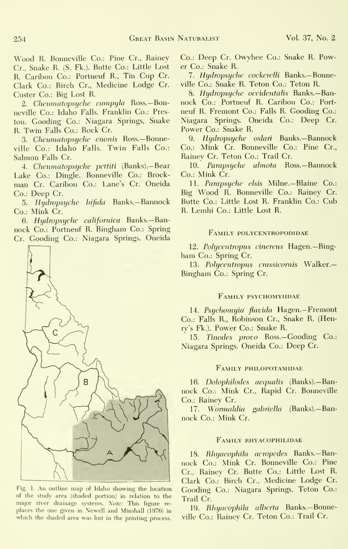Wood R. Bonneville Co.: Pine Cr., Rainey Cr., Snake R. (S. Fk.). Butte Co.: Little Lost R. Caribou Co.: Portneuf R., Tin Cup Cr. Clark Co.: Birch Cr., Medicine Lodge Cr. Custer Co.: Big Lost R.

2. Cheumatopsyche campyla Ross.-Bonneville Co.: Idaho Falls. Franklin Co.: Preston. Gooding Co.: Niagara Springs, Snake R. Twin Falls Co.: Rock Cr.

3. Cheumatopsyche enonis Ross.-Bonneville Co.: Idaho Falls. Twin Falls Co.: Salmon Falls Cr.

4. Cheumatopsyche pettiti (Banks).—Bear Lake Co.: Dingle. Bonneville Co.: Brock man Cr. Caribou Co.: Lane's Cr. Oneida Co.: Deep Cr.

5. Hydropsyche bifida Banks.-Bannock Co.: Mink Cr.

6. Hydropsyche califomica Banks.—Ban nock Co.: Portneuf R. Bingham Co.: Spring Cr. Gooding Co.: Niagara Springs. Oneida



Fig. 1. An outline map of Idaho showing the location of the study area (shaded portion) in relation to the major river drainage systems. Note: This figure re places the one given in Newell and Minshall (1976) in which the shaded area was lost in the printing process.

Co.: Deep Cr. Owyhee Co.: Snake R. Power Co.: Snake R.

7. Hydropsyche cockerelli Banks.-Bonneville Co.: Snake R. Teton Co.: Teton R.

8. Hydropsyche occidentalis Banks.—Ban nock Co.: Portneuf R. Caribou Co.: Port neuf R. Fremont Co.: Falls R. Gooding Co.: Niagara Springs. Oneida Co.: Deep Cr. Power Co.: Snake R.

9. Hydropsyche oslari Banks.—Bannock Co.: Mink Cr. Bonneville Co.: Pine Cr., Rainey Cr. Teton Co.: Trail Cr.

10. Parapsyche ahnota Ross.—Bannock Co.: Mink Cr.

11. Parapsyche elsis Milne.—Blaine Co.: Big Wood R.Bonneville Co.: Rainey Cr. Butte Co.: Little Lost R. Franklin Co.: Cub R. Lemhi Co.: Little Lost R.

#### Family polycentropodidae

12. Polycentropus cinereus Hagen.-Bingham Co.: Spring Cr.

13. Polycentropus crassicornis Walker.-Bingham Co.: Spring Cr.

#### Family psychomyiidae

14. Psychomyia flavida Hagen.-Fremont Co.: Falls R., Robinson Cr., Snake R. (Henry's Fk.). Power Co.: Snake R.

15. Tinodes provo Ross.—Gooding Co.: Niagara Springs. Oneida Co.: Deep Cr.

#### Family philopotamidae

16. Dolophilodes aequalis (Banks).-Bannock Co.: Mink Cr., Rapid Cr. Bonneville Co.: Rainey Cr.

17. W*ormaldia gabriella* (Banks).—Bannock Co.: Mink Cr.

#### Family rhyacophilidae

18. Rhyacophila acropedes Banks.—Ban nock Co.: Mink Cr. Bonneville Co.: Pine Cr., Rainey Cr. Butte Co.: Little Lost R. Clark Co.: Birch Cr., Medicine Lodge Cr. Gooding Co.: Niagara Springs. Teton Co.: Trail Cr.

19. Rhyacophila alberta Banks.—Bonneville Co.: Rainev Cr. Teton Co.: Trail Cr.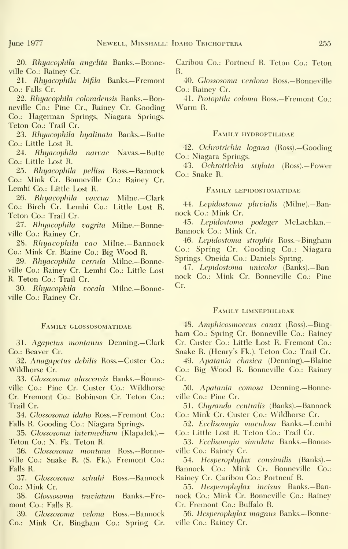20. Rhyacophila angelita Banks.— Bonneville Co.: Rainey Cr.

21. Rhyacophila bifila Banks.-Fremont Co.: Falls Cr.

22. Rhyacophila coloradensis Banks.— Bonneville Co.: Pine Cr., Rainey Cr. Gooding Co.: Hagerman Springs, Niagara Springs. Teton Co.: Trail Cr.

23. Rhyacophila hyalinata Banks.—Butte Co.: Little Lost R.

24. Rhyacophila narvae Navas.—Butte Co.: Little Lost R.

25. Rhyacophila pellisa Ross.—Bannock Co.: Mink Cr. Bonneville Co.: Rainey Cr. Lemhi Co.: Little Lost R.

26. Rhyacophila vaccua Milne.—Clark Co.: Birch Cr. Lemhi Co.: Little Lost R. Teton Co.: Trail Cr.

27. Rhyacophila vagrita Milne.—Bonneville Co.: Rainey Cr.

28. Rhyacophila vao Milne.— Bannock Co.: Mink Cr. Blaine Co.: Big Wood R.

29. Rhyacophila verrula Milne.—Bonneville Co.: Rainey Cr. Lemhi Co.: Little Lost R. Teton Co.: Trail Cr.

30. Rhyacophila vocala Milne.—Bonneville Co.: Rainev Cr.

#### Family glossosomatidae

31. Agapetus montanus Denning.—Clark Co.: Beaver Cr.

32. Anagapetus debilis Ross.—Custer Co.: Wildhorse Cr.

33. Glossosoma alascensis Banks.—Bonneville Co.: Pine Cr. Custer Co.: Wildliorse Cr. Fremont Co.: Robinson Cr. Teton Co.: Trail Cr.

34. Glossosoma idaho Ross.-Fremont Co.: Falls R. Gooding Co.: Niagara Springs.

35. Glossosoma intermedium (Klapalek).-Teton Co.: N. Fk. Teton R.

36. Glossosoma montana Ross.—Bonneville Co.: Snake R. (S. Fk.). Fremont Co.: Falls R.

37. Glossosoma schuhi Ross.-Bannock Co.: Mink Cr.

38. Glossosoma traviatum Banks.—Fre mont Co.: Falls R.

39. Glossosoma velona Ross.—Bannock Co.: Mink Cr. Bingham Co.: Spring Cr. Caribou Co.: Portneuf R. Teton Co.: Teton R.

40. Glossosoma verdona Ross.—Bonneville Co.: Rainev Cr.

41. Protoptila coloma Ross.—Fremont Co.: Warm R.

#### FAMILY HYDROPTILIDAE

42. Ochrotrichia logana (Ross).—Gooding Co.: Niagara Springs.

43. Ochrotrichia stylata (Ross).—Power Co.: Snake R.

#### Family lepidostomatidae

44. Lepidostoma pluvialis (Milne).— Ban nock Co.: Mink Cr.

45. Lepidostoma podager McLachlan.— Bannock Co.: Mink Cr.

46. Lepidostoma strophis Ross.—Bingham Co.: Spring Cr. Gooding Co.: Niagara Springs. Oneida Co.: Daniels Spring.

47. Lepidostoma unicolor (Banks).— Ban nock Co.: Mink Cr. Bonneville Co.: Pine Cr.

#### FamILY LIMNEPHILIDAE

48. Amphicosmoecus canax (Ross).— Bingham Co.: Spring Cr. Bonneville Co.: Rainey Cr. Custer Co.: Little Lost R. Fremont Co.: Snake R. (Henry's Fk.). Teton Co.: Trail Cr.

49. Apatania chasica (Denning).—Blaine Co.: Big Wood R.Bonneville Co.: Rainev Cr.

50. Apatania comosa Denning.—Bonneville Co.: Pine Cr.

51. Chyranda centralis (Banks).— Bannock Co.: Mink Cr. Custer Co.: Wildhorse Cr.

52. Ecclisomyia maculosa Banks.—Lemhi Co.: Little Lost R. Teton Co.: Trail Cr.

53. Ecclisomyia simulata Banks.-Bonneville Co.: Rainey Cr.

54. Hesperophylax consimilis (Banks).— Bannock Co.: Mink Cr. Bonneville Co.: Rainey Cr. Caribou Co.: Portneuf R.

55. Hesperophylax incisus Banks.-Bannock Co.: Mink Cr. Bonneville Co.: Rainey Cr. Fremont Co.: Buffalo R.

56. Hesperophylax magnus Banks.—Bonneville Co.: Rainey Cr.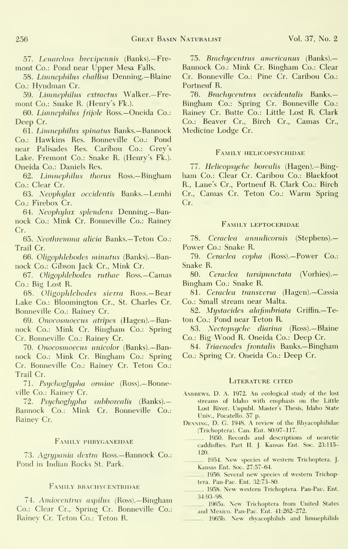57. Lenarchus brevipennis (Banks).—Fre mont Co.: Pond near Upper Mesa Falls.

58. Limnephihis challisa Denning.— Blaine Co.: Hyndman Cr.

59. Limnephilus extractus Walker.—Fre mont Co.: Snake R. (Henry's Fk.).

60. Limnephilus frijole Ross.—Oneida Co.: Deep Cr.

61. Limnephihis spinatus Banks.—Bannock Co.: Hawkins Res. Bonneville Co.: Pond near Palisades Res. Caribou Co.: Grey's Lake. Fremont Co.: Snake R. (Henry's Fk.). Oneida Co.: Daniels Res.

62. Limnephilus thorus Ross.—Bingham Co.: Clear Cr.

6.3. Neophylax occidentis Banks.— Lemhi Co.: Firebox Cr.

64. Neophylax splendens Denning.—Ban nock Co.: Mink Cr. Bonneville Co.: Rainey Cr.

65. Neothremma alicia Banks.-Teton Co.: Trail Cr.

66. Oligophlebodes minutus (Banks).-Bannock Co.: Gibson Jack Cr., Mink Cr.

67. Oligophlebodes ruthae Ross.-Camas Co.: Big Lost R.

68. Oligophlebodes sierra Ross.— Bear Lake Co.: Bloomington Cr., St. Charles Cr. Bonneville Co.: Rainey Cr.

69. Onocosmoecus atripes (Hagen).—Ban nock Co.: Mink Cr. Bingham Co.: Spring Cr. Bonneville Co.: Rainey Cr.

70. Onocosmoecus unicolor (Banks).— Ban nock Co.: Mink Cr. Bingham Co.: Spring Cr. Bonneville Co.: Rainev Cr. Teton Co.: Trail Cr.

7L Psychoglypha ormiae (Ross).—Bonneville Co.: Rainey Cr.

72. Psychoglypha subhorealis (Banks).— Bannock Co.: Mink Cr. Bonneville Co.: Rainey Cr.

#### Family phryganeidae

73. Agrypania dextra Ross.—Bannock Co.: Pond in Indian Rocks St. Park.

#### Family brachycentridae

74. Amiocentrus aspilus (Ross).— Bingham Co.: Clear Cr., Spring Cr. Bonneville Co.: Rainev Cr. Teton Co.: Teton R.

75. Brachycentnis americanus (Banks).— Bannock Co.: Mink Cr. Bingham Co.: Clear Cr. Bonneville Co.: Pine Cr. Caribou Co.: Portneuf R.

76. Brachycentrus occidentalis Banks.-Bingham Co.: Spring Cr. Bonneville Co.: Rainey Cr. Butte Co.: Little Lost R. Clark Co.: Beaver Cr., Birch Cr., Camas Cr., Medicine Lodge Cr.

#### Family helicopsychidae

77. Helicopsyche borealis (Hagen).—Bingham Co.: Clear Cr. Caribou Co.: Blackfoot R., Lane's Cr., Portneuf R. Clark Co.: Birch Cr., Camas Cr. Teton Co.: Warm Spring Cr.

#### FamILY LEPTOCERIDAE

78. Ceraclea annulicornis (Stephens).— Power Co.: Snake R.

79. Ceraclea copha (Ross).— Power Co.: Snake R.

80. Ceraclea tarsipunctata (Vorhies).— Bingham Co.: Snake R.

8L Ceraclea transversa (Hagen).—Cassia Co.: Small stream near Malta.

82. Mystacides alafimbriata Griffin.—Teton Co.: Pond near Teton R.

83. Nectopsyche diarina (Ross).— Blaine Co.: Big Wood R. Oneida Co.: Deep Cr.

84. Triaenodes frontalis Banks.—Bingham Co.: Spring Cr. Oneida Co.: Deep Cr.

#### LITERATURE CITED

- ANDREWS, D. A. 1972. An ecological study of the lost streams of Idaho with emphasis on the Little Lost River. Unpubl. Master's Thesis, Idaho State Univ., Pocatello. 57 p.
- Denning, D. G. 1948. A review of the Rhyacophilidae (Trichoptera). Can. Ent. 80:97-117.
	- 1950. Records and descriptions of nearctic caddisflies. Part II. J. Kansas Ent. Soc. 23:115- 120.
- 1954. New species of western Trichoptera. J. Kansas Ent. Soc. 27:57-64.

1956. Several new species of western Trichoptera. Pan-Pac. Ent. 32:73-80.

- 1958. New western Trichoptera. Pan-Pac. Ent. 34:93-98.
- 1965a. New Trichoptera from United States and Mexico. Pan-Pac. Ent. 41:262-272.
- 1965b. New rhyacophilids and limnephilids